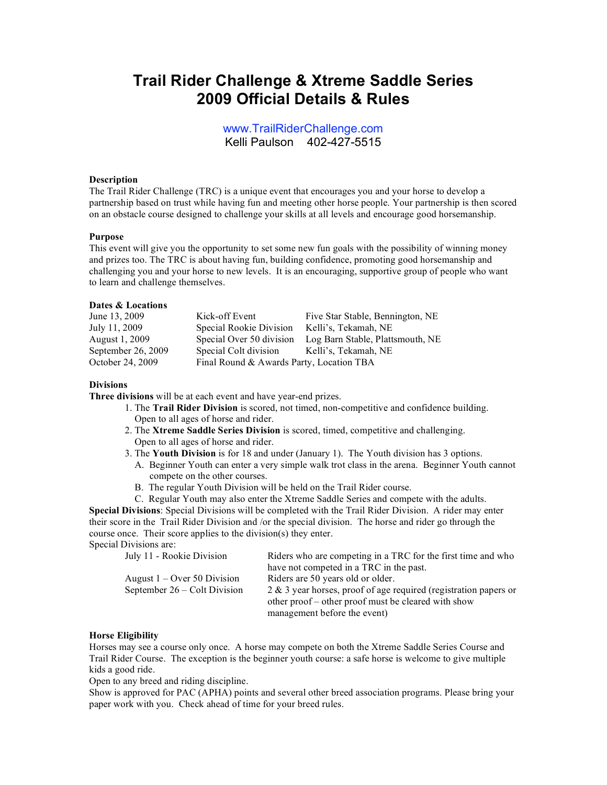# **Trail Rider Challenge & Xtreme Saddle Series 2009 Official Details & Rules**

www.TrailRiderChallenge.com Kelli Paulson 402-427-5515

## **Description**

The Trail Rider Challenge (TRC) is a unique event that encourages you and your horse to develop a partnership based on trust while having fun and meeting other horse people. Your partnership is then scored on an obstacle course designed to challenge your skills at all levels and encourage good horsemanship.

#### **Purpose**

This event will give you the opportunity to set some new fun goals with the possibility of winning money and prizes too. The TRC is about having fun, building confidence, promoting good horsemanship and challenging you and your horse to new levels. It is an encouraging, supportive group of people who want to learn and challenge themselves.

## **Dates & Locations**

| June 13, 2009      | Kick-off Event                           | Five Star Stable, Bennington, NE |
|--------------------|------------------------------------------|----------------------------------|
| July 11, 2009      | Special Rookie Division                  | Kelli's, Tekamah, NE             |
| August 1, 2009     | Special Over 50 division                 | Log Barn Stable, Plattsmouth, NE |
| September 26, 2009 | Special Colt division                    | Kelli's, Tekamah, NE             |
| October 24, 2009   | Final Round & Awards Party, Location TBA |                                  |

#### **Divisions**

**Three divisions** will be at each event and have year-end prizes.

- 1. The **Trail Rider Division** is scored, not timed, non-competitive and confidence building. Open to all ages of horse and rider.
- 2. The **Xtreme Saddle Series Division** is scored, timed, competitive and challenging. Open to all ages of horse and rider.
- 3. The **Youth Division** is for 18 and under (January 1). The Youth division has 3 options.
	- A. Beginner Youth can enter a very simple walk trot class in the arena. Beginner Youth cannot compete on the other courses.
	- B. The regular Youth Division will be held on the Trail Rider course.

C. Regular Youth may also enter the Xtreme Saddle Series and compete with the adults. **Special Divisions**: Special Divisions will be completed with the Trail Rider Division. A rider may enter their score in the Trail Rider Division and /or the special division. The horse and rider go through the course once. Their score applies to the division(s) they enter. Special Divisions are:

| July 11 - Rookie Division     | Riders who are competing in a TRC for the first time and who        |
|-------------------------------|---------------------------------------------------------------------|
|                               | have not competed in a TRC in the past.                             |
| August $1 -$ Over 50 Division | Riders are 50 years old or older.                                   |
| September 26 – Colt Division  | $2 \& 3$ year horses, proof of age required (registration papers or |
|                               | other proof – other proof must be cleared with show                 |
|                               | management before the event)                                        |

#### **Horse Eligibility**

Horses may see a course only once. A horse may compete on both the Xtreme Saddle Series Course and Trail Rider Course. The exception is the beginner youth course: a safe horse is welcome to give multiple kids a good ride.

Open to any breed and riding discipline.

Show is approved for PAC (APHA) points and several other breed association programs. Please bring your paper work with you. Check ahead of time for your breed rules.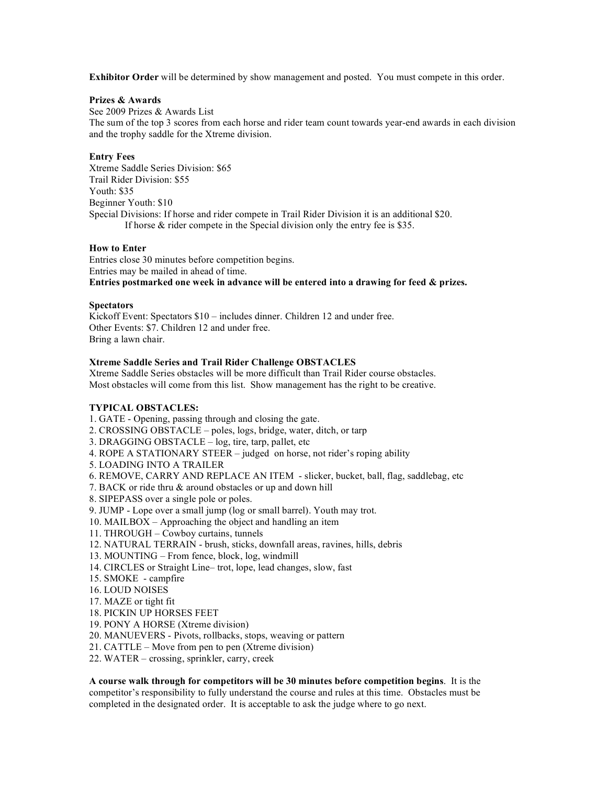**Exhibitor Order** will be determined by show management and posted. You must compete in this order.

## **Prizes & Awards**

See 2009 Prizes & Awards List The sum of the top 3 scores from each horse and rider team count towards year-end awards in each division and the trophy saddle for the Xtreme division.

## **Entry Fees**

Xtreme Saddle Series Division: \$65 Trail Rider Division: \$55 Youth: \$35 Beginner Youth: \$10 Special Divisions: If horse and rider compete in Trail Rider Division it is an additional \$20. If horse & rider compete in the Special division only the entry fee is \$35.

### **How to Enter**

Entries close 30 minutes before competition begins. Entries may be mailed in ahead of time. **Entries postmarked one week in advance will be entered into a drawing for feed & prizes.**

## **Spectators**

Kickoff Event: Spectators \$10 – includes dinner. Children 12 and under free. Other Events: \$7. Children 12 and under free. Bring a lawn chair.

## **Xtreme Saddle Series and Trail Rider Challenge OBSTACLES**

Xtreme Saddle Series obstacles will be more difficult than Trail Rider course obstacles. Most obstacles will come from this list. Show management has the right to be creative.

# **TYPICAL OBSTACLES:**

1. GATE - Opening, passing through and closing the gate. 2. CROSSING OBSTACLE – poles, logs, bridge, water, ditch, or tarp 3. DRAGGING OBSTACLE – log, tire, tarp, pallet, etc 4. ROPE A STATIONARY STEER – judged on horse, not rider's roping ability 5. LOADING INTO A TRAILER 6. REMOVE, CARRY AND REPLACE AN ITEM - slicker, bucket, ball, flag, saddlebag, etc 7. BACK or ride thru & around obstacles or up and down hill 8. SIPEPASS over a single pole or poles. 9. JUMP - Lope over a small jump (log or small barrel). Youth may trot. 10. MAILBOX – Approaching the object and handling an item 11. THROUGH – Cowboy curtains, tunnels 12. NATURAL TERRAIN - brush, sticks, downfall areas, ravines, hills, debris 13. MOUNTING – From fence, block, log, windmill 14. CIRCLES or Straight Line– trot, lope, lead changes, slow, fast 15. SMOKE - campfire 16. LOUD NOISES 17. MAZE or tight fit 18. PICKIN UP HORSES FEET 19. PONY A HORSE (Xtreme division) 20. MANUEVERS - Pivots, rollbacks, stops, weaving or pattern 21. CATTLE – Move from pen to pen (Xtreme division)

22. WATER – crossing, sprinkler, carry, creek

**A course walk through for competitors will be 30 minutes before competition begins**. It is the competitor's responsibility to fully understand the course and rules at this time. Obstacles must be completed in the designated order. It is acceptable to ask the judge where to go next.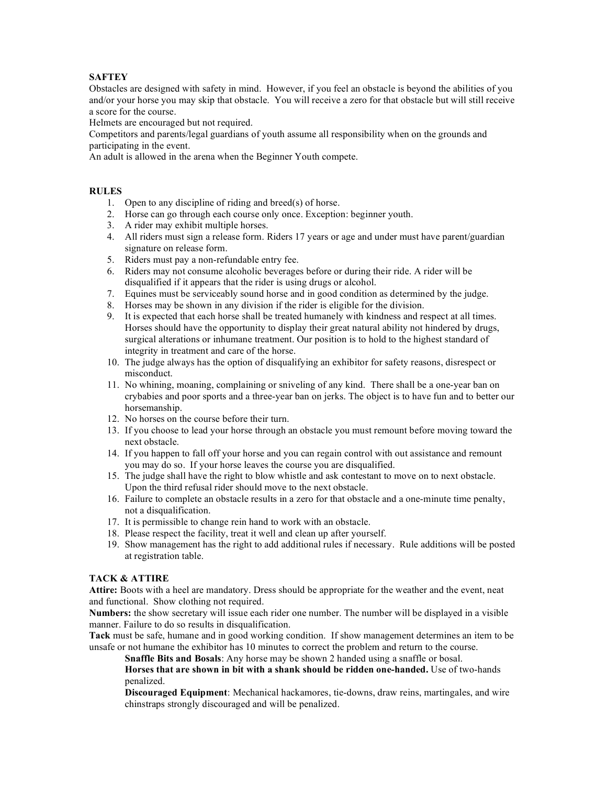# **SAFTEY**

Obstacles are designed with safety in mind. However, if you feel an obstacle is beyond the abilities of you and/or your horse you may skip that obstacle. You will receive a zero for that obstacle but will still receive a score for the course.

Helmets are encouraged but not required.

Competitors and parents/legal guardians of youth assume all responsibility when on the grounds and participating in the event.

An adult is allowed in the arena when the Beginner Youth compete.

# **RULES**

- 1. Open to any discipline of riding and breed(s) of horse.
- 2. Horse can go through each course only once. Exception: beginner youth.
- 3. A rider may exhibit multiple horses.
- 4. All riders must sign a release form. Riders 17 years or age and under must have parent/guardian signature on release form.
- 5. Riders must pay a non-refundable entry fee.
- 6. Riders may not consume alcoholic beverages before or during their ride. A rider will be disqualified if it appears that the rider is using drugs or alcohol.
- 7. Equines must be serviceably sound horse and in good condition as determined by the judge.
- 8. Horses may be shown in any division if the rider is eligible for the division.
- 9. It is expected that each horse shall be treated humanely with kindness and respect at all times. Horses should have the opportunity to display their great natural ability not hindered by drugs, surgical alterations or inhumane treatment. Our position is to hold to the highest standard of integrity in treatment and care of the horse.
- 10. The judge always has the option of disqualifying an exhibitor for safety reasons, disrespect or misconduct.
- 11. No whining, moaning, complaining or sniveling of any kind. There shall be a one-year ban on crybabies and poor sports and a three-year ban on jerks. The object is to have fun and to better our horsemanship.
- 12. No horses on the course before their turn.
- 13. If you choose to lead your horse through an obstacle you must remount before moving toward the next obstacle.
- 14. If you happen to fall off your horse and you can regain control with out assistance and remount you may do so. If your horse leaves the course you are disqualified.
- 15. The judge shall have the right to blow whistle and ask contestant to move on to next obstacle. Upon the third refusal rider should move to the next obstacle.
- 16. Failure to complete an obstacle results in a zero for that obstacle and a one-minute time penalty, not a disqualification.
- 17. It is permissible to change rein hand to work with an obstacle.
- 18. Please respect the facility, treat it well and clean up after yourself.
- 19. Show management has the right to add additional rules if necessary. Rule additions will be posted at registration table.

# **TACK & ATTIRE**

**Attire:** Boots with a heel are mandatory. Dress should be appropriate for the weather and the event, neat and functional. Show clothing not required.

**Numbers:** the show secretary will issue each rider one number. The number will be displayed in a visible manner. Failure to do so results in disqualification.

**Tack** must be safe, humane and in good working condition. If show management determines an item to be unsafe or not humane the exhibitor has 10 minutes to correct the problem and return to the course.

**Snaffle Bits and Bosals**: Any horse may be shown 2 handed using a snaffle or bosal.

**Horses that are shown in bit with a shank should be ridden one-handed.** Use of two-hands penalized.

**Discouraged Equipment**: Mechanical hackamores, tie-downs, draw reins, martingales, and wire chinstraps strongly discouraged and will be penalized.